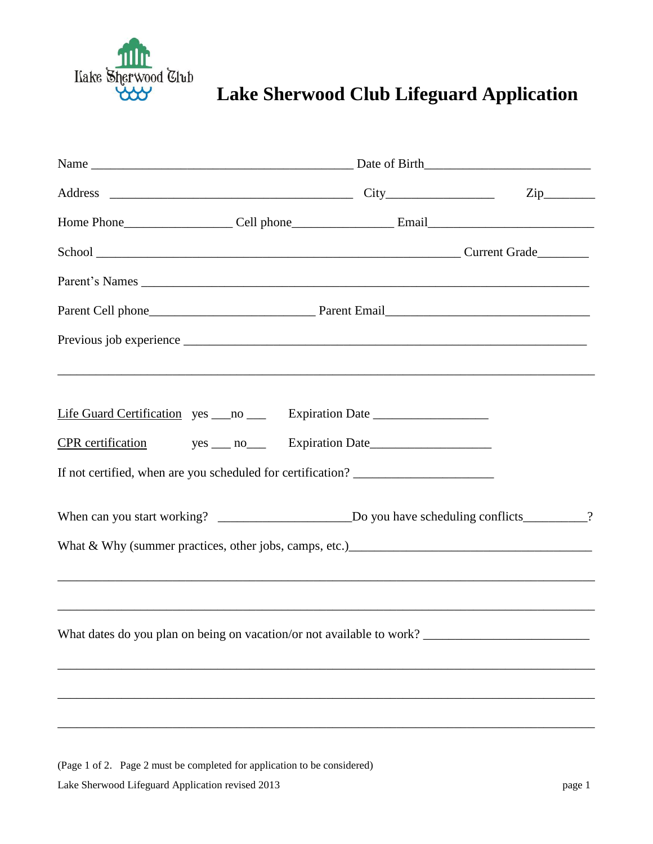

## **Lake Sherwood Club**<br>**Lake Sherwood Club Lifeguard Application**

| Life Guard Certification yes ___ no ____ Expiration Date _______________________  |  |  |  |
|-----------------------------------------------------------------------------------|--|--|--|
|                                                                                   |  |  |  |
| If not certified, when are you scheduled for certification? _____________________ |  |  |  |
|                                                                                   |  |  |  |
|                                                                                   |  |  |  |
|                                                                                   |  |  |  |
| What dates do you plan on being on vacation/or not available to work?             |  |  |  |
|                                                                                   |  |  |  |
|                                                                                   |  |  |  |
|                                                                                   |  |  |  |

Lake Sherwood Lifeguard Application revised 2013 page 1 (Page 1 of 2. Page 2 must be completed for application to be considered)